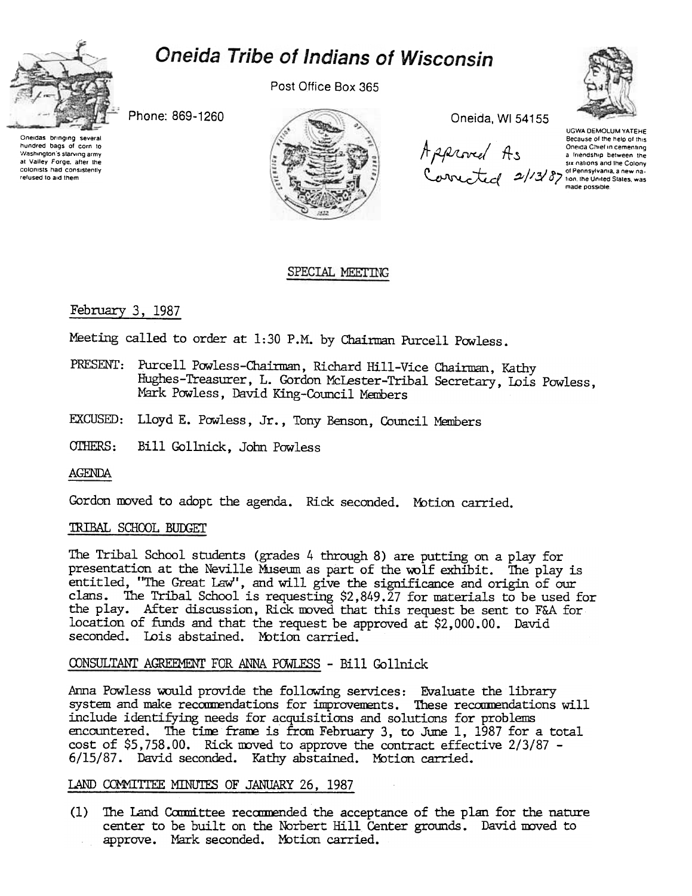

# **Oneida Tribe of Indians of Wisconsin**

Post Office Box 365



Oneidas bringing several hundred bags at Corn to 'Washington's starving army at Valley Forge. after the colomsts had consistently refused to aid them



 $\mu$ www.

UGWA DEMOLUM YATEHE Because of the help of this<br>Oneida Chief in cementing Oneda Chief in cementing<br>a line of the Salmon Between this<br>six nations and the Colony<br>2// J a D in the United Slates. was made possoble

#### SPECIAL MEETING

### February 3, 1987

Meeting called to order at 1:30 P.M. by Chairman Purcell Powless.

- PRESENT: Purcell Powless-Chairman, Richard Hill-Vice Chairman, Kathy Hughes-Treasurer, L. Gordon McLester-Tribal Secretary, Lois Powless, Mark Powless, David King-Council Members
- EXCUSED: Lloyd E. Powless, Jr., Tony Benson, Council Members
- OTHERS: Bill Gollnick, John Powless

AGENDA

Gordon moved to adopt the agenda. Rick seconded. Motion carried.

#### TRIBAL SCHOOL BUDGET

The Tribal School students (grades 4 through 8) are putting on a play for presentation at the Neville Museum as part of the wolf exhibit. The play is entitled, "The Great Law", and will give the significance and origin of our clans. The Tribal School is requesting \$2,849.27 for materials to be used for the play. After discussion, Rick moved that this request be sent to F&A for location of funds and that the request be approved at \$2,000.00. David seconded. Lois abstained. Motion carried.

#### CONSULTANT AGREEMENT FOR ANNA POWLESS - Bill Gollnick

Anna Powless would provide the following services: Evaluate the library system and make recommendations for improvements. These recommendations will include identifying needs for acquisitions and solutions for problems encountered. The time frame is from February 3, to June 1, 1987 for a total cost of  $$5,758.00$ . Rick moved to approve the contract effective  $2/3/87$  -6/15/87. David seconded. Katby abstained. Mbtion carried.

#### LAND COMMITTEE MINUTES OF JANUARY 26, 1987

 $(1)$  The Land Committee recommended the acceptance of the plan for the nature center to be built on the Norbert Hill Center grounds. David moved to approve. Mark seconded. Motion carried.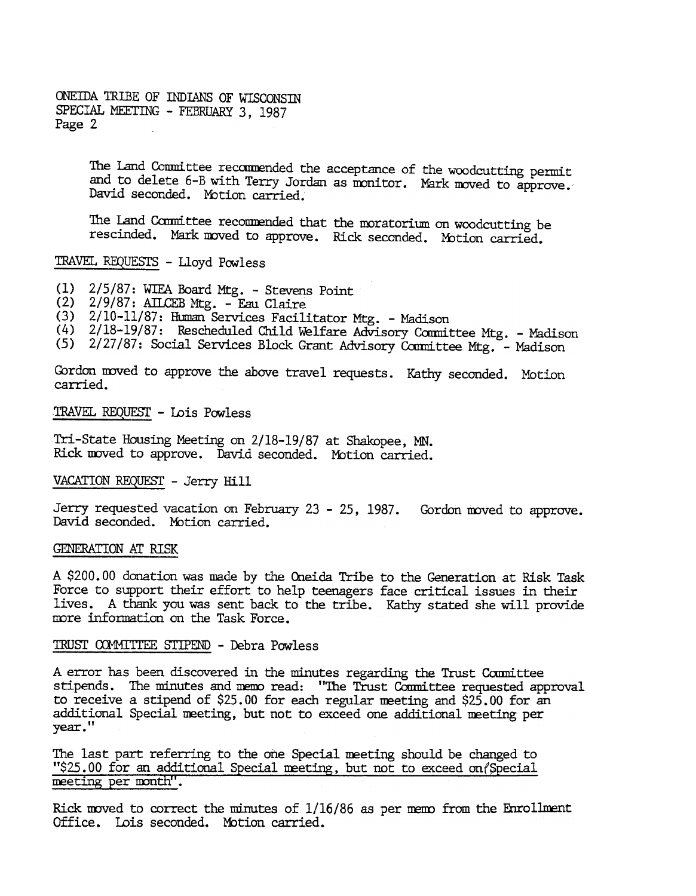ONEIDA TRIBE OF INDIANS OF WISCONSIN SPECIAL MEETING - FEBRUARY 3, 1987 Page 2

> The Land Committee recommended the acceptance of the woodcutting permit and to delete 6-B with Terry Jordan as monitor. Mark moved to approve. David seconded. Motion carried.

The Land Committee recommended that the moratorium on woodcutting be rescinded. Mark moved to approve. Rick seconded. Motion carried.

## TRAVEL REQUESTS - Lloyd Powless

- (1) 2/5/87: WIEA Board Mtg. Stevens Point
- $(2)$  2/9/87: AILCEB Mtg. Eau Claire
- 
- (3) 2/10-11/87: Human Services Facilitator Mtg. Madison<br>(4) 2/18-19/87: Rescheduled Child Welfare Advisory Committee Mtg. Madison
- (5) 2/27/87: Social Services Block Grant Advisory Committee Mtg. Madison

Gordon moved to approve the above travel requests. Kathy seconded. Motion carried.

TRAVEL REQUEST - Lois Powless

Tri-State Housing Meeting on 2/18-19/87 at Shakopee, MN. Rick moved to approve. David seconded. Motion carried.

VACATION REQUEST - Jerry Hill

Jerry requested vacation on February 23 - 25, 1987. Gordon moved to approve. David seconded. Motion carried.

#### GENERATION AT RISK

A \$200.00 donation was made by the Oneida Tribe to the Generation at Risk Task Force to support their effort to help teenagers face critical issues in their lives. A thank you was sent back to the tribe. Kathy stated she will provide more information on the Task Force.

### TRUST COMMITTEE STIPEND - Debra Powless

A error has been discovered in the minutes regarding the Trust Committee stipends. The minutes and memo read: "The Trust Committee requested approval to receive a stipend of  $$25.00$  for each regular meeting and  $$25.00$  for an additional Special meeting, but not to exceed one additional meeting per vear."

The last part referring to the one Special meeting should be changed to "\$25.00 for an additional Special meeting, but not to exceed on (Special meeting per month".

Rick moved to correct the minutes of  $1/16/86$  as per memo from the Enrollment Office. Lois seconded. Motion carried.